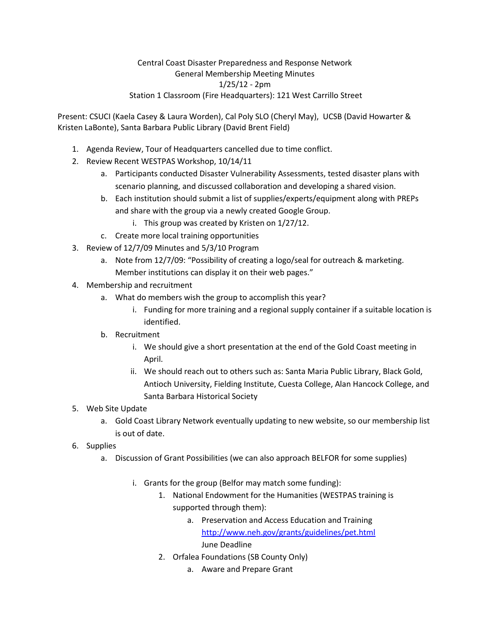Present: CSUCI (Kaela Casey & Laura Worden), Cal Poly SLO (Cheryl May), UCSB (David Howarter & Kristen LaBonte), Santa Barbara Public Library (David Brent Field)

- 1. Agenda Review, Tour of Headquarters cancelled due to time conflict.
- 2. Review Recent WESTPAS Workshop, 10/14/11
	- a. Participants conducted Disaster Vulnerability Assessments, tested disaster plans with scenario planning, and discussed collaboration and developing a shared vision.
	- b. Each institution should submit a list of supplies/experts/equipment along with PREPs and share with the group via a newly created Google Group.
		- i. This group was created by Kristen on 1/27/12.
	- c. Create more local training opportunities
- 3. Review of 12/7/09 Minutes and 5/3/10 Program
	- a. Note from 12/7/09: "Possibility of creating a logo/seal for outreach & marketing. Member institutions can display it on their web pages."
- 4. Membership and recruitment
	- a. What do members wish the group to accomplish this year?
		- i. Funding for more training and a regional supply container if a suitable location is identified.
	- b. Recruitment
		- i. We should give a short presentation at the end of the Gold Coast meeting in April.
		- ii. We should reach out to others such as: Santa Maria Public Library, Black Gold, Antioch University, Fielding Institute, Cuesta College, Alan Hancock College, and Santa Barbara Historical Society
- 5. Web Site Update
	- a. Gold Coast Library Network eventually updating to new website, so our membership list is out of date.
- 6. Supplies
	- a. Discussion of Grant Possibilities (we can also approach BELFOR for some supplies)
		- i. Grants for the group (Belfor may match some funding):
			- 1. National Endowment for the Humanities (WESTPAS training is supported through them):
				- a. Preservation and Access Education and Training <http://www.neh.gov/grants/guidelines/pet.html> June Deadline
			- 2. Orfalea Foundations (SB County Only)
				- a. Aware and Prepare Grant